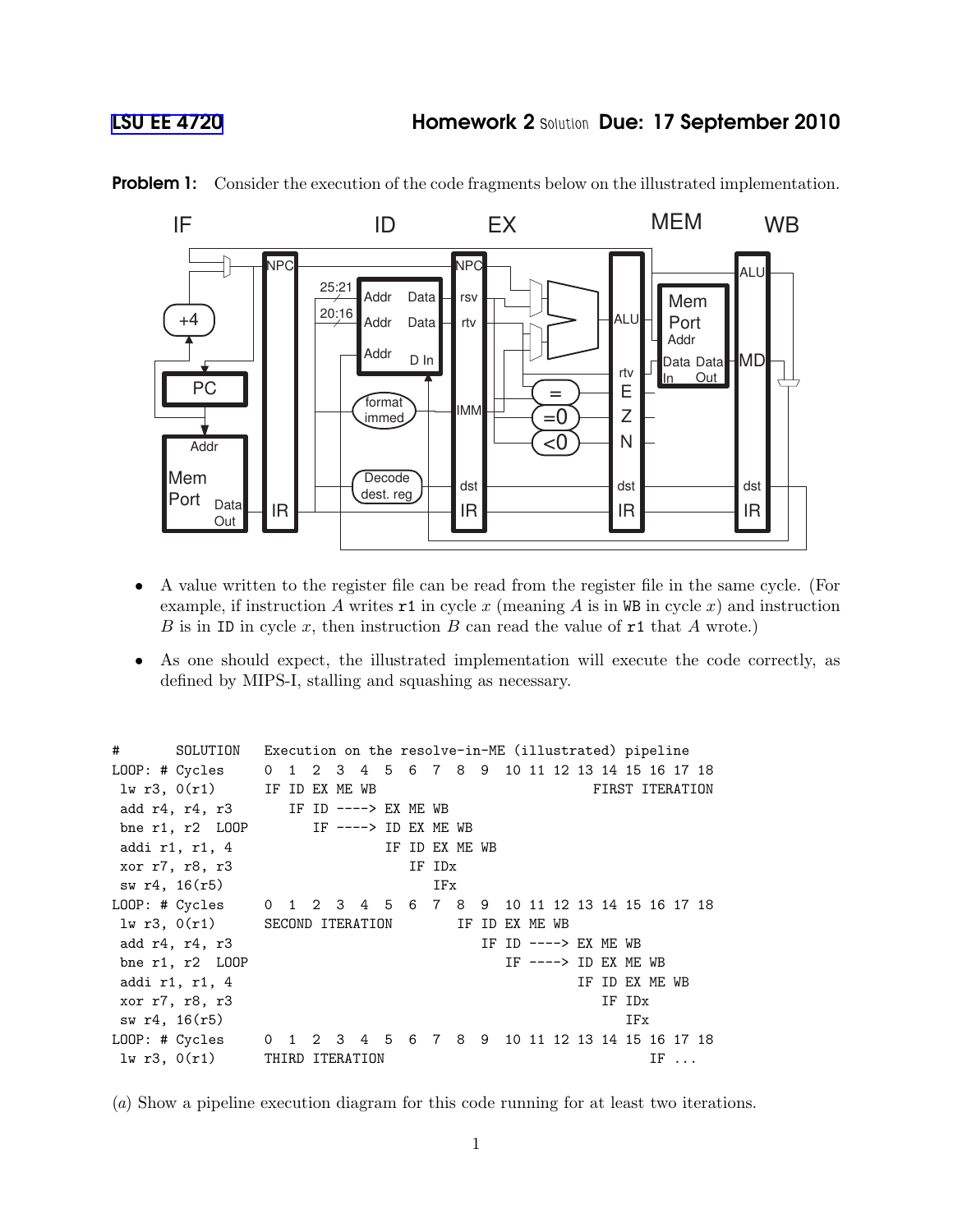

**Problem 1:** Consider the execution of the code fragments below on the illustrated implementation.

- A value written to the register file can be read from the register file in the same cycle. (For example, if instruction A writes r1 in cycle x (meaning A is in WB in cycle x) and instruction B is in ID in cycle x, then instruction B can read the value of  $r1$  that A wrote.)
- As one should expect, the illustrated implementation will execute the code correctly, as defined by MIPS-I, stalling and squashing as necessary.

| #             | SOLUTION Execution on the resolve-in-ME (illustrated) pipeline |                 |  |  |  |                      |  |  |        |                |  |  |                       |        |                 |  |  |
|---------------|----------------------------------------------------------------|-----------------|--|--|--|----------------------|--|--|--------|----------------|--|--|-----------------------|--------|-----------------|--|--|
|               | LOOP: # Cycles 0 1 2 3 4 5 6 7 8 9 10 11 12 13 14 15 16 17 18  |                 |  |  |  |                      |  |  |        |                |  |  |                       |        |                 |  |  |
|               | $1w r3$ , $0(r1)$ IF ID EX ME WB                               |                 |  |  |  |                      |  |  |        |                |  |  |                       |        | FIRST ITERATION |  |  |
|               | add r4, r4, r3                                                 |                 |  |  |  | IF ID ----> EX ME WB |  |  |        |                |  |  |                       |        |                 |  |  |
|               | bne r1, r2 $L OOP$ IF ----> ID EX ME WB                        |                 |  |  |  |                      |  |  |        |                |  |  |                       |        |                 |  |  |
|               | addi r1, r1, 4                                                 |                 |  |  |  |                      |  |  |        | IF ID EX ME WB |  |  |                       |        |                 |  |  |
|               | xor r7, r8, r3                                                 |                 |  |  |  |                      |  |  | IF IDx |                |  |  |                       |        |                 |  |  |
|               | sw r4, 16(r5)                                                  |                 |  |  |  |                      |  |  | IFx    |                |  |  |                       |        |                 |  |  |
|               | LOOP: # Cycles 0 1 2 3 4 5 6 7 8 9 10 11 12 13 14 15 16 17 18  |                 |  |  |  |                      |  |  |        |                |  |  |                       |        |                 |  |  |
|               | $1w r3, 0(r1)$ SECOND ITERATION                                |                 |  |  |  |                      |  |  |        | IF ID EX ME WB |  |  |                       |        |                 |  |  |
|               | add r4, r4, r3                                                 |                 |  |  |  |                      |  |  |        |                |  |  | IF ID $--->$ EX ME WB |        |                 |  |  |
|               | bne r1, r2 L00P                                                |                 |  |  |  |                      |  |  |        |                |  |  | IF $--->$ ID EX ME WB |        |                 |  |  |
|               | addi r1, r1, 4                                                 |                 |  |  |  |                      |  |  |        |                |  |  |                       |        | IF ID EX ME WB  |  |  |
|               | xor r7, r8, r3                                                 |                 |  |  |  |                      |  |  |        |                |  |  |                       | IF IDx |                 |  |  |
| sw r4, 16(r5) |                                                                |                 |  |  |  |                      |  |  |        |                |  |  |                       | IFx    |                 |  |  |
|               | LOOP: # Cycles 0 1 2 3 4 5 6 7 8 9 10 11 12 13 14 15 16 17 18  |                 |  |  |  |                      |  |  |        |                |  |  |                       |        |                 |  |  |
|               | 1w r3, 0(r1)                                                   | THIRD ITERATION |  |  |  |                      |  |  |        |                |  |  |                       |        | $IF \ldots$     |  |  |

(a) Show a pipeline execution diagram for this code running for at least two iterations.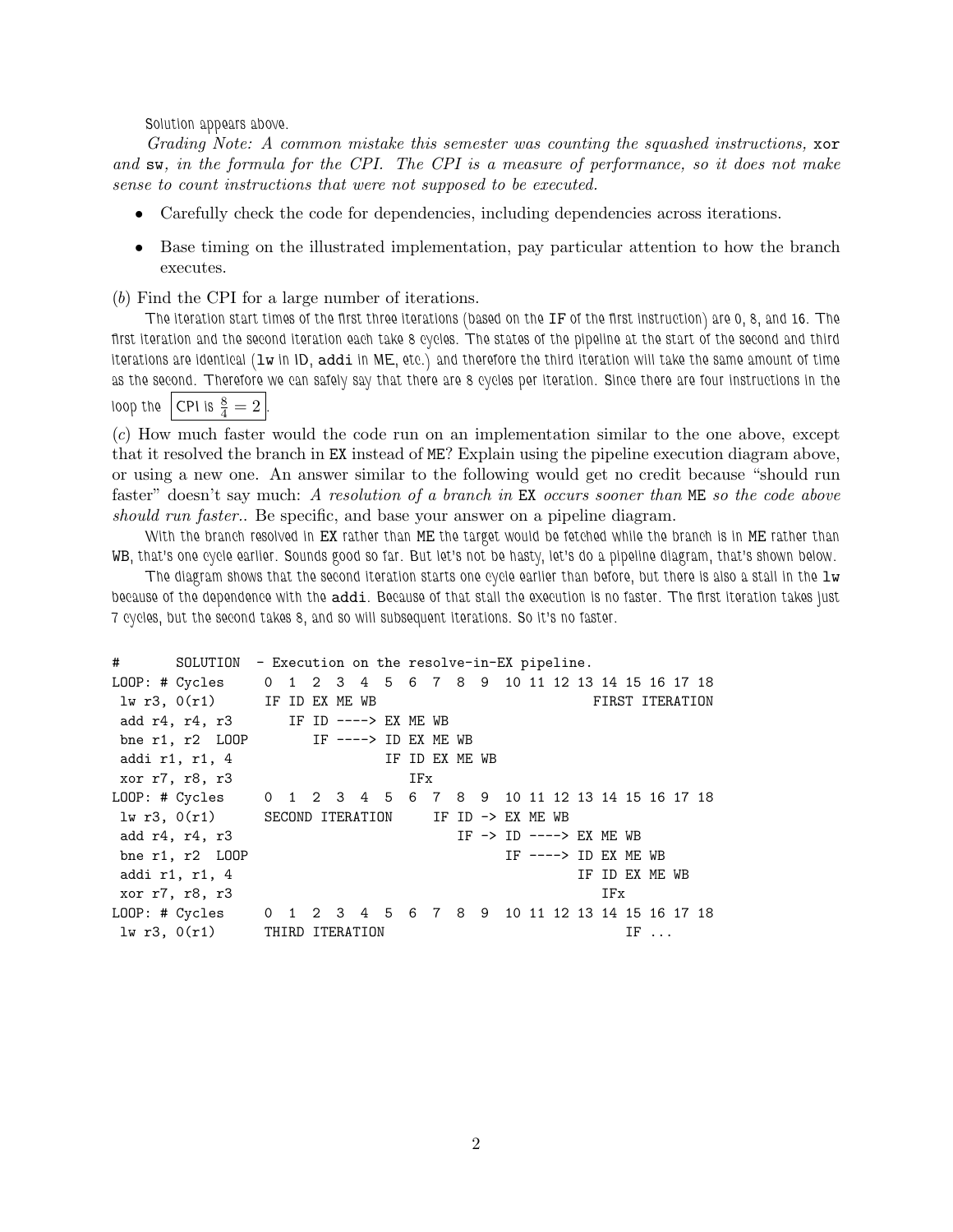Solution appears above.

Grading Note: A common mistake this semester was counting the squashed instructions, xor and sw, in the formula for the CPI. The CPI is a measure of performance, so it does not make sense to count instructions that were not supposed to be executed.

- Carefully check the code for dependencies, including dependencies across iterations.
- Base timing on the illustrated implementation, pay particular attention to how the branch executes.

(b) Find the CPI for a large number of iterations.

The iteration start times of the first three iterations (based on the IF of the first instruction) are 0, 8, and 16. The first iteration and the second iteration each take 8 cycles. The states of the pipeline at the start of the second and third iterations are identical  $(1w$  in ID, addi in ME, etc.) and therefore the third iteration will take the same amount of time as the second. Therefore we can safely say that there are 8 cycles per iteration. Since there are four instructions in the loop the  $|$  CPI is  $\frac{8}{4} = 2$  .

(c) How much faster would the code run on an implementation similar to the one above, except that it resolved the branch in EX instead of ME? Explain using the pipeline execution diagram above, or using a new one. An answer similar to the following would get no credit because "should run faster" doesn't say much: A resolution of a branch in EX occurs sooner than ME so the code above should run faster.. Be specific, and base your answer on a pipeline diagram.

With the branch resolved in EX rather than ME the target would be fetched while the branch is in ME rather than WB, that's one cycle earlier. Sounds good so far. But let's not be hasty, let's do a pipeline diagram, that's shown below.

The diagram shows that the second iteration starts one cycle earlier than before, but there is also a stall in the  $1w$ because of the dependence with the addi. Because of that stall the execution is no faster. The first iteration takes just 7 cycles, but the second takes 8, and so will subsequent iterations. So it's no faster.

| #                    | SOLUTION - Execution on the resolve-in-EX pipeline. |                |                                                               |
|----------------------|-----------------------------------------------------|----------------|---------------------------------------------------------------|
|                      |                                                     |                | LOOP: # Cycles 0 1 2 3 4 5 6 7 8 9 10 11 12 13 14 15 16 17 18 |
|                      | $1w r3$ , $0(r1)$ IF ID EX ME WB                    |                | FIRST ITERATION                                               |
|                      | add r4, r4, r3 IF ID ----> EX ME WB                 |                |                                                               |
|                      | bne r1, r2 $L OOP$ IF ----> ID EX ME WB             |                |                                                               |
| addi r1, r1, 4       |                                                     | IF ID EX ME WB |                                                               |
| xor r7, r8, r3       |                                                     | IFx            |                                                               |
|                      |                                                     |                | LOOP: # Cycles 0 1 2 3 4 5 6 7 8 9 10 11 12 13 14 15 16 17 18 |
|                      | 1w r3, 0(r1) SECOND ITERATION IF ID -> EX ME WB     |                |                                                               |
| add r4, r4, r3       |                                                     |                | IF $\rightarrow$ ID $\rightarrow$ ---> EX ME WB               |
| bne $r1$ , $r2$ LOOP |                                                     |                | IF $--->$ ID EX ME WB                                         |
| addi r1, r1, 4       |                                                     |                | IF ID EX ME WB                                                |
| xor r7, r8, r3       |                                                     |                | IFx                                                           |
|                      |                                                     |                | LOOP: # Cycles 0 1 2 3 4 5 6 7 8 9 10 11 12 13 14 15 16 17 18 |
|                      | lw r3, 0(r1) THIRD ITERATION                        |                | $IF \ldots$                                                   |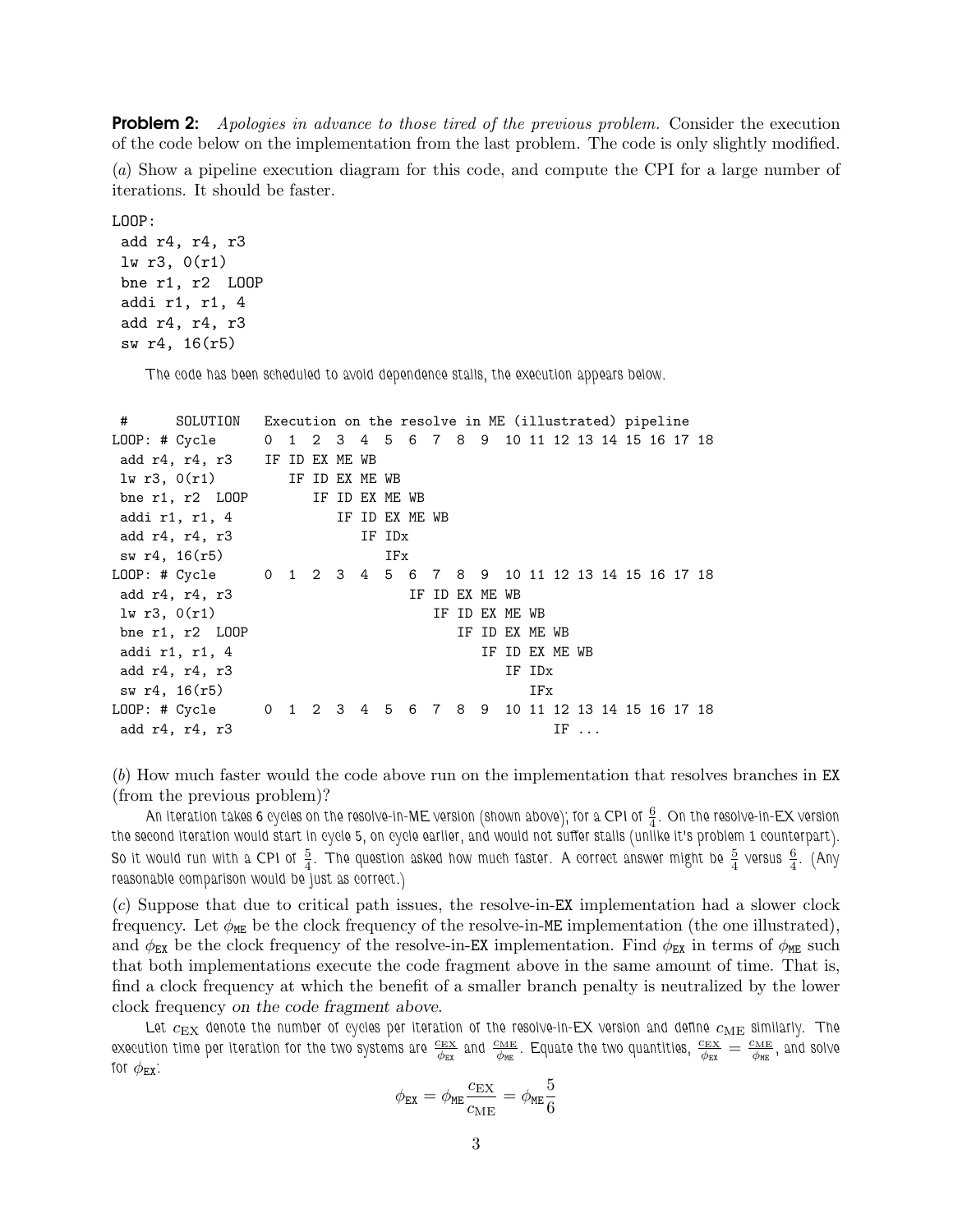**Problem 2:** Apologies in advance to those tired of the previous problem. Consider the execution of the code below on the implementation from the last problem. The code is only slightly modified. (a) Show a pipeline execution diagram for this code, and compute the CPI for a large number of iterations. It should be faster.

LOOP:

```
add r4, r4, r3
lw r3, 0(r1)
bne r1, r2 LOOP
addi r1, r1, 4
add r4, r4, r3
sw r4, 16(r5)
```
The code has been scheduled to avoid dependence stalls, the execution appears below.

| #             | SOLUTION                                                     | Execution on the resolve in ME (illustrated) pipeline |  |                |  |  |        |                |                |  |                |                |        |             |  |  |  |
|---------------|--------------------------------------------------------------|-------------------------------------------------------|--|----------------|--|--|--------|----------------|----------------|--|----------------|----------------|--------|-------------|--|--|--|
|               | LOOP: # Cycle 0 1 2 3 4 5 6 7 8 9 10 11 12 13 14 15 16 17 18 |                                                       |  |                |  |  |        |                |                |  |                |                |        |             |  |  |  |
|               | add r4, r4, r3 IF ID EX ME WB                                |                                                       |  |                |  |  |        |                |                |  |                |                |        |             |  |  |  |
|               | $lw$ r3, $0(r1)$                                             |                                                       |  | IF ID EX ME WB |  |  |        |                |                |  |                |                |        |             |  |  |  |
|               | bne r1, r2 LOOP IF ID EX ME WB                               |                                                       |  |                |  |  |        |                |                |  |                |                |        |             |  |  |  |
|               | addi r1, r1, 4                                               |                                                       |  |                |  |  |        | IF ID EX ME WB |                |  |                |                |        |             |  |  |  |
|               | add r4, r4, r3                                               |                                                       |  |                |  |  | IF IDx |                |                |  |                |                |        |             |  |  |  |
|               | sw r4, 16(r5)                                                |                                                       |  |                |  |  | IFx    |                |                |  |                |                |        |             |  |  |  |
|               | LOOP: # Cycle 0 1 2 3 4 5 6 7 8 9 10 11 12 13 14 15 16 17 18 |                                                       |  |                |  |  |        |                |                |  |                |                |        |             |  |  |  |
|               | add r4, r4, r3                                               |                                                       |  |                |  |  |        |                | IF ID EX ME WB |  |                |                |        |             |  |  |  |
| 1w r3, 0(r1)  |                                                              |                                                       |  |                |  |  |        |                |                |  | IF ID EX ME WB |                |        |             |  |  |  |
|               | bne r1, r2 LOOP                                              |                                                       |  |                |  |  |        |                |                |  | IF ID EX ME WB |                |        |             |  |  |  |
|               | addi r1, r1, 4                                               |                                                       |  |                |  |  |        |                |                |  |                | IF ID EX ME WB |        |             |  |  |  |
|               | add r4, r4, r3                                               |                                                       |  |                |  |  |        |                |                |  |                |                | IF IDx |             |  |  |  |
| sw r4, 16(r5) |                                                              |                                                       |  |                |  |  |        |                |                |  |                |                | IFx    |             |  |  |  |
|               | LOOP: # Cycle 0 1 2 3 4 5 6 7 8 9 10 11 12 13 14 15 16 17 18 |                                                       |  |                |  |  |        |                |                |  |                |                |        |             |  |  |  |
|               | add r4, r4, r3                                               |                                                       |  |                |  |  |        |                |                |  |                |                |        | $IF \ldots$ |  |  |  |

(b) How much faster would the code above run on the implementation that resolves branches in EX (from the previous problem)?

An iteration takes 6 cycles on the resolve-in-ME version (shown above); for a CPI of  $\frac{6}{4}$  . On the resolve-in-EX version the second iteration would start in cycle 5, on cycle earlier, and would not suffer stalls (unlike it's problem 1 counterpart). So it would run with a CPI of  $\frac{5}{4}$ . The question asked how much faster. A correct answer might be  $\frac{5}{4}$  versus  $\frac{6}{4}$ . (Any reasonable comparison would be just as correct.)

(c) Suppose that due to critical path issues, the resolve-in-EX implementation had a slower clock frequency. Let  $\phi_{\text{ME}}$  be the clock frequency of the resolve-in-ME implementation (the one illustrated), and  $\phi_{\text{EX}}$  be the clock frequency of the resolve-in-EX implementation. Find  $\phi_{\text{EX}}$  in terms of  $\phi_{\text{ME}}$  such that both implementations execute the code fragment above in the same amount of time. That is, find a clock frequency at which the benefit of a smaller branch penalty is neutralized by the lower clock frequency on the code fragment above.

Let  $c_{\rm EX}$  denote the number of cycles per iteration of the resolve-in-EX version and define  $c_{\rm ME}$  similarly. The execution time per iteration for the two systems are  $\frac{c_{\rm EX}}{\phi_{\rm EE}}$  and  $\frac{c_{\rm ME}}{\phi_{\rm ME}}$ . Equate the two quantities,  $\frac{c_{\rm EX}}{\phi_{\rm EE}}=\frac{c_{\rm ME}}{\phi_{\rm ME}}$  $\frac{d^2\mathbf{M}\mathbf{E}}{d^2\mathbf{M}\mathbf{E}}$  , and solve for  $\phi_{\text{EX}}$ :

$$
\phi_{\text{EX}} = \phi_{\text{ME}} \frac{c_{\text{EX}}}{c_{\text{ME}}} = \phi_{\text{ME}} \frac{5}{6}
$$